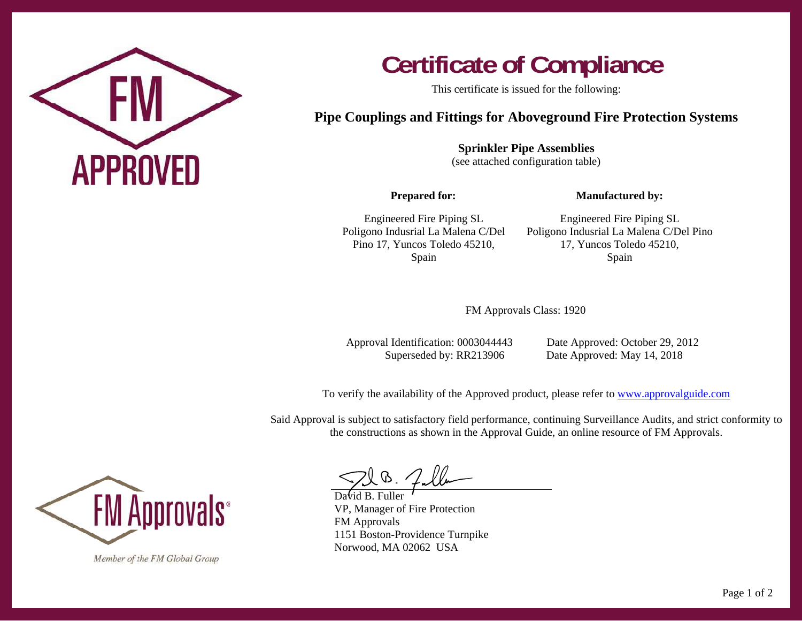

## **Certificate of Compliance**

This certificate is issued for the following:

## **Pipe Couplings and Fittings for Aboveground Fire Protection Systems**

**Sprinkler Pipe Assemblies**  (see attached configuration table)

**Prepared for:** 

**Manufactured by:** 

Engineered Fire Piping SL Poligono Indusrial La Malena C/Del Pino 17, Yuncos Toledo 45210, Spain

Engineered Fire Piping SL Poligono Indusrial La Malena C/Del Pino 17, Yuncos Toledo 45210, Spain

FM Approvals Class: 1920

Approval Identification: 0003044443 Date Approved: October 29, 2012

Superseded by: RR213906 Date Approved: May 14, 2018

To verify the availability of the Approved product, please refer to www.approvalguide.com

Said Approval is subject to satisfactory field performance, continuing Surveillance Audits, and strict conformity to the constructions as shown in the Approval Guide, an online resource of FM Approvals.



Member of the FM Global Group

David B. Fuller VP, Manager of Fire Protection FM Approvals 1151 Boston-Providence Turnpike Norwood, MA 02062 USA